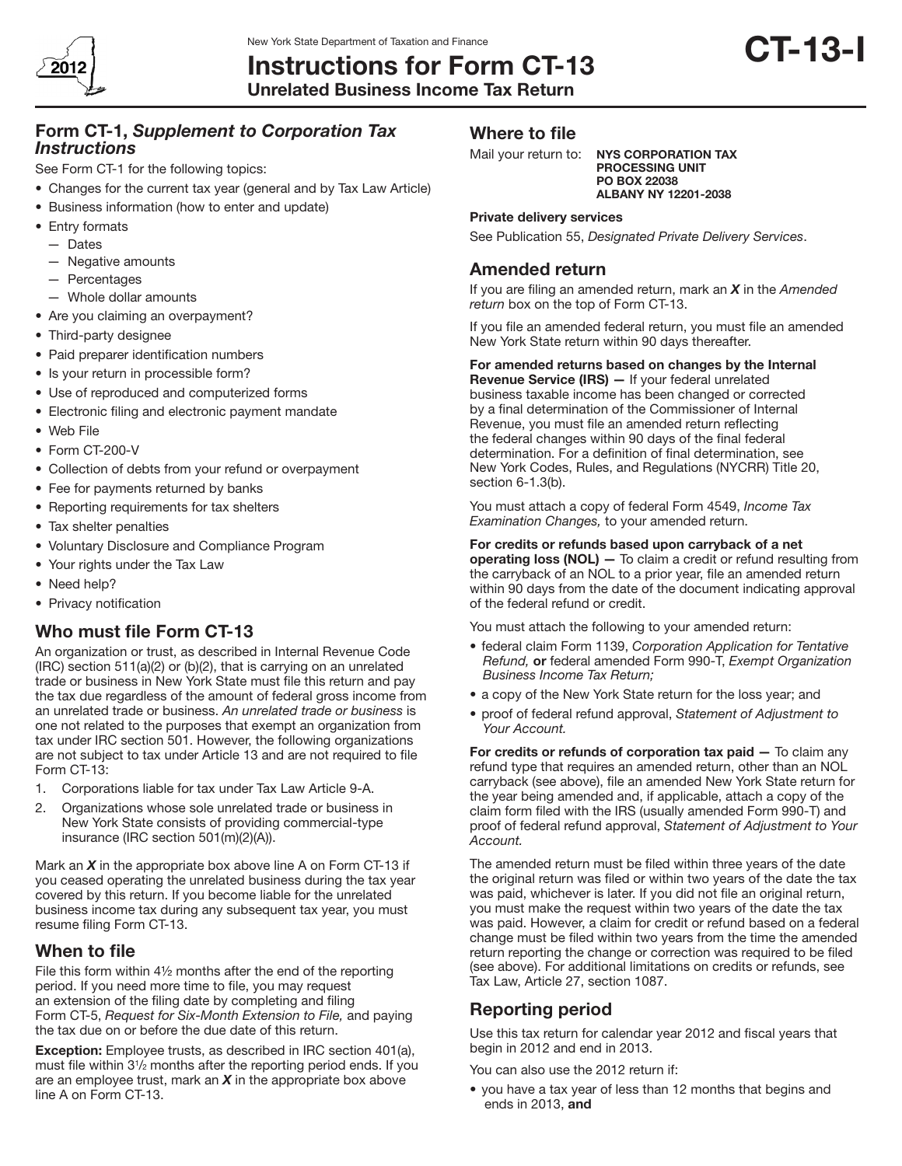

Instructions for Form CT-13 Unrelated Business Income Tax Return

# Form CT-1, *Supplement to Corporation Tax Instructions*

See Form CT-1 for the following topics:

- Changes for the current tax year (general and by Tax Law Article)
- Business information (how to enter and update)
- Entry formats
	- — Dates
	- $-$  Negative amounts
	- — Percentages
	- — Whole dollar amounts
- Are you claiming an overpayment?
- Third-party designee
- Paid preparer identification numbers
- Is your return in processible form?
- Use of reproduced and computerized forms
- Electronic filing and electronic payment mandate
- • Web File
- Form CT-200-V
- Collection of debts from your refund or overpayment
- Fee for payments returned by banks
- Reporting requirements for tax shelters
- Tax shelter penalties
- • Voluntary Disclosure and Compliance Program
- Your rights under the Tax Law
- Need help?
- Privacy notification

# Who must file Form CT-13

An organization or trust, as described in Internal Revenue Code (IRC) section 511(a)(2) or (b)(2), that is carrying on an unrelated trade or business in New York State must file this return and pay the tax due regardless of the amount of federal gross income from an unrelated trade or business. *An unrelated trade or business* is one not related to the purposes that exempt an organization from tax under IRC section 501. However, the following organizations are not subject to tax under Article 13 and are not required to file Form CT-13:

- 1. Corporations liable for tax under Tax Law Article 9-A.
- 2. Organizations whose sole unrelated trade or business in New York State consists of providing commercial-type insurance (IRC section 501(m)(2)(A)).

Mark an *X* in the appropriate box above line A on Form CT-13 if you ceased operating the unrelated business during the tax year covered by this return. If you become liable for the unrelated business income tax during any subsequent tax year, you must resume filing Form CT-13.

## When to file

File this form within 4½ months after the end of the reporting period. If you need more time to file, you may request an extension of the filing date by completing and filing Form CT‑5, *Request for Six-Month Extension to File,* and paying the tax due on or before the due date of this return.

Exception: Employee trusts, as described in IRC section 401(a), must file within 3<sup>1</sup> /2 months after the reporting period ends. If you are an employee trust, mark an *X* in the appropriate box above line A on Form CT-13.

## Where to file

Mail your return to: NYS CORPORATION TAX

PROCESSING UNIT PO BOX 22038 ALBANY NY 12201-2038

#### Private delivery services

See Publication 55, *Designated Private Delivery Services*.

## Amended return

If you are filing an amended return, mark an *X* in the *Amended*  return box on the top of Form CT-13.

If you file an amended federal return, you must file an amended New York State return within 90 days thereafter.

#### For amended returns based on changes by the Internal

Revenue Service (IRS) — If your federal unrelated business taxable income has been changed or corrected by a final determination of the Commissioner of Internal Revenue, you must file an amended return reflecting the federal changes within 90 days of the final federal determination. For a definition of final determination, see New York Codes, Rules, and Regulations (NYCRR) Title 20, section 6-1.3(b).

You must attach a copy of federal Form 4549, *Income Tax Examination Changes,* to your amended return.

#### For credits or refunds based upon carryback of a net

operating loss (NOL) — To claim a credit or refund resulting from the carryback of an NOL to a prior year, file an amended return within 90 days from the date of the document indicating approval of the federal refund or credit.

You must attach the following to your amended return:

- • federal claim Form 1139, *Corporation Application for Tentative Refund,* or federal amended Form 990-T, *Exempt Organization Business Income Tax Return;*
- a copy of the New York State return for the loss year; and
- proof of federal refund approval, *Statement of Adjustment to Your Account.*

For credits or refunds of corporation tax paid — To claim any refund type that requires an amended return, other than an NOL carryback (see above), file an amended New York State return for the year being amended and, if applicable, attach a copy of the claim form filed with the IRS (usually amended Form 990-T) and proof of federal refund approval, *Statement of Adjustment to Your Account.*

The amended return must be filed within three years of the date the original return was filed or within two years of the date the tax was paid, whichever is later. If you did not file an original return, you must make the request within two years of the date the tax was paid. However, a claim for credit or refund based on a federal change must be filed within two years from the time the amended return reporting the change or correction was required to be filed (see above). For additional limitations on credits or refunds, see Tax Law, Article 27, section 1087.

# Reporting period

Use this tax return for calendar year 2012 and fiscal years that begin in 2012 and end in 2013.

You can also use the 2012 return if:

• you have a tax year of less than 12 months that begins and ends in 2013, and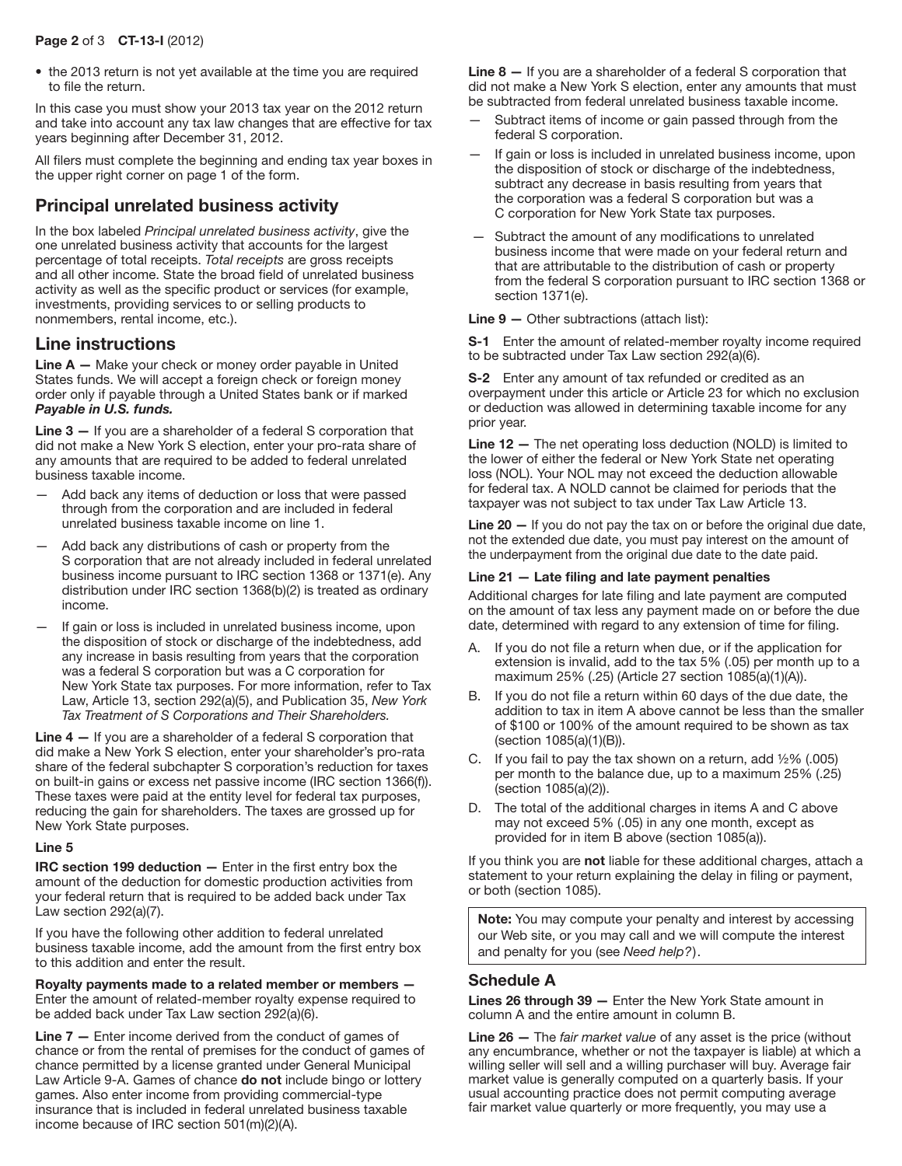#### Page 2 of 3 CT-13-I (2012)

• the 2013 return is not yet available at the time you are required to file the return.

In this case you must show your 2013 tax year on the 2012 return and take into account any tax law changes that are effective for tax years beginning after December 31, 2012.

All filers must complete the beginning and ending tax year boxes in the upper right corner on page 1 of the form.

# Principal unrelated business activity

In the box labeled *Principal unrelated business activity*, give the one unrelated business activity that accounts for the largest percentage of total receipts. *Total receipts* are gross receipts and all other income. State the broad field of unrelated business activity as well as the specific product or services (for example, investments, providing services to or selling products to nonmembers, rental income, etc.).

# Line instructions

Line A - Make your check or money order payable in United States funds. We will accept a foreign check or foreign money order only if payable through a United States bank or if marked *Payable in U.S. funds.*

Line  $3 -$  If you are a shareholder of a federal S corporation that did not make a New York S election, enter your pro-rata share of any amounts that are required to be added to federal unrelated business taxable income.

- Add back any items of deduction or loss that were passed through from the corporation and are included in federal unrelated business taxable income on line 1.
- Add back any distributions of cash or property from the S corporation that are not already included in federal unrelated business income pursuant to IRC section 1368 or 1371(e). Any distribution under IRC section 1368(b)(2) is treated as ordinary income.
- If gain or loss is included in unrelated business income, upon the disposition of stock or discharge of the indebtedness, add any increase in basis resulting from years that the corporation was a federal S corporation but was a C corporation for New York State tax purposes. For more information, refer to Tax Law, Article 13, section 292(a)(5), and Publication 35, *New York Tax Treatment of S Corporations and Their Shareholders.*

Line 4 – If you are a shareholder of a federal S corporation that did make a New York S election, enter your shareholder's pro-rata share of the federal subchapter S corporation's reduction for taxes on built-in gains or excess net passive income (IRC section 1366(f)). These taxes were paid at the entity level for federal tax purposes, reducing the gain for shareholders. The taxes are grossed up for New York State purposes.

## Line 5

**IRC section 199 deduction**  $-$  Enter in the first entry box the amount of the deduction for domestic production activities from your federal return that is required to be added back under Tax Law section 292(a)(7).

If you have the following other addition to federal unrelated business taxable income, add the amount from the first entry box to this addition and enter the result.

Royalty payments made to a related member or members — Enter the amount of related-member royalty expense required to be added back under Tax Law section 292(a)(6).

Line 7 – Enter income derived from the conduct of games of chance or from the rental of premises for the conduct of games of chance permitted by a license granted under General Municipal Law Article 9-A. Games of chance **do not** include bingo or lottery games. Also enter income from providing commercial-type insurance that is included in federal unrelated business taxable income because of IRC section 501(m)(2)(A).

Line 8 – If you are a shareholder of a federal S corporation that did not make a New York S election, enter any amounts that must be subtracted from federal unrelated business taxable income.

- Subtract items of income or gain passed through from the federal S corporation.
- If gain or loss is included in unrelated business income, upon the disposition of stock or discharge of the indebtedness, subtract any decrease in basis resulting from years that the corporation was a federal S corporation but was a C corporation for New York State tax purposes.
- Subtract the amount of any modifications to unrelated business income that were made on your federal return and that are attributable to the distribution of cash or property from the federal S corporation pursuant to IRC section 1368 or section 1371(e).

## Line 9 — Other subtractions (attach list):

S-1 Enter the amount of related-member royalty income required to be subtracted under Tax Law section 292(a)(6).

S-2 Enter any amount of tax refunded or credited as an overpayment under this article or Article 23 for which no exclusion or deduction was allowed in determining taxable income for any prior year.

Line 12 — The net operating loss deduction (NOLD) is limited to the lower of either the federal or New York State net operating loss (NOL). Your NOL may not exceed the deduction allowable for federal tax. A NOLD cannot be claimed for periods that the taxpayer was not subject to tax under Tax Law Article 13.

Line 20 - If you do not pay the tax on or before the original due date, not the extended due date, you must pay interest on the amount of the underpayment from the original due date to the date paid.

## Line 21 — Late filing and late payment penalties

Additional charges for late filing and late payment are computed on the amount of tax less any payment made on or before the due date, determined with regard to any extension of time for filing.

- A. If you do not file a return when due, or if the application for extension is invalid, add to the tax 5% (.05) per month up to a maximum 25% (.25) (Article 27 section 1085(a)(1)(A)).
- B. If you do not file a return within 60 days of the due date, the addition to tax in item A above cannot be less than the smaller of \$100 or 100% of the amount required to be shown as tax (section 1085(a)(1)(B)).
- C. If you fail to pay the tax shown on a return, add  $\frac{1}{2}\%$  (.005) per month to the balance due, up to a maximum 25% (.25) (section 1085(a)(2)).
- D. The total of the additional charges in items A and C above may not exceed 5% (.05) in any one month, except as provided for in item B above (section 1085(a)).

If you think you are not liable for these additional charges, attach a statement to your return explaining the delay in filing or payment, or both (section 1085).

Note: You may compute your penalty and interest by accessing our Web site, or you may call and we will compute the interest and penalty for you (see *Need help?*).

# Schedule A

Lines 26 through 39 — Enter the New York State amount in column A and the entire amount in column B.

Line 26 — The *fair market value* of any asset is the price (without any encumbrance, whether or not the taxpayer is liable) at which a willing seller will sell and a willing purchaser will buy. Average fair market value is generally computed on a quarterly basis. If your usual accounting practice does not permit computing average fair market value quarterly or more frequently, you may use a